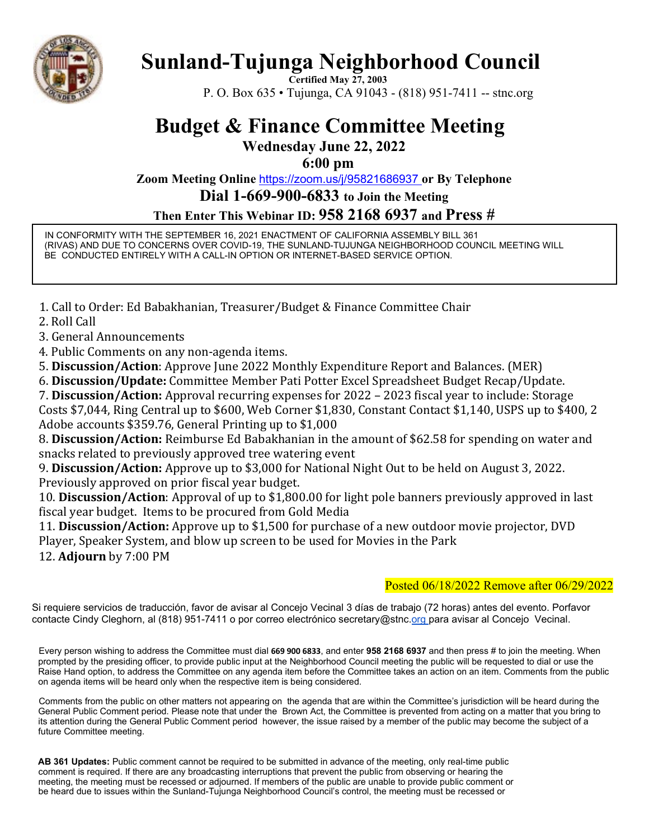

# **Sunland-Tujunga Neighborhood Council**

**Certified May 27, 2003**  P. O. Box 635 • Tujunga, CA 91043 - (818) 951-7411 -- stnc.org

# **Budget & Finance Committee Meeting**

**Wednesday June 22, 2022** 

**6:00 pm** 

**Zoom Meeting Online** https://zoom.us/j/95821686937 **or By Telephone** 

**Dial 1-669-900-6833 to Join the Meeting** 

**Then Enter This Webinar ID: 958 2168 6937 and Press #** 

IN CONFORMITY WITH THE SEPTEMBER 16, 2021 ENACTMENT OF CALIFORNIA ASSEMBLY BILL 361 (RIVAS) AND DUE TO CONCERNS OVER COVID-19, THE SUNLAND-TUJUNGA NEIGHBORHOOD COUNCIL MEETING WILL BE CONDUCTED ENTIRELY WITH A CALL-IN OPTION OR INTERNET-BASED SERVICE OPTION.

1. Call to Order: Ed Babakhanian, Treasurer/Budget & Finance Committee Chair

2. Roll Call

3. General Announcements

4. Public Comments on any non-agenda items.

5. **Discussion/Action**: Approve June 2022 Monthly Expenditure Report and Balances. (MER)

6. **Discussion/Update:** Committee Member Pati Potter Excel Spreadsheet Budget Recap/Update.

7. **Discussion/Action:** Approval recurring expenses for 2022 – 2023 fiscal year to include: Storage Costs \$7,044, Ring Central up to \$600, Web Corner \$1,830, Constant Contact \$1,140, USPS up to \$400, 2 Adobe accounts \$359.76, General Printing up to \$1,000

8. **Discussion/Action:** Reimburse Ed Babakhanian in the amount of \$62.58 for spending on water and snacks related to previously approved tree watering event

9. **Discussion/Action:** Approve up to \$3,000 for National Night Out to be held on August 3, 2022. Previously approved on prior fiscal year budget.

10. **Discussion/Action**: Approval of up to \$1,800.00 for light pole banners previously approved in last fiscal year budget. Items to be procured from Gold Media

11. **Discussion/Action:** Approve up to \$1,500 for purchase of a new outdoor movie projector, DVD Player, Speaker System, and blow up screen to be used for Movies in the Park 12. **Adjourn** by 7:00 PM

### Posted 06/18/2022 Remove after 06/29/2022

Si requiere servicios de traducción, favor de avisar al Concejo Vecinal 3 días de trabajo (72 horas) antes del evento. Porfavor contacte Cindy Cleghorn, al (818) 951-7411 o por correo electrónico secretary@stnc.org para avisar al Concejo Vecinal.

Every person wishing to address the Committee must dial **669 900 6833**, and enter **958 2168 6937** and then press # to join the meeting. When prompted by the presiding officer, to provide public input at the Neighborhood Council meeting the public will be requested to dial or use the Raise Hand option, to address the Committee on any agenda item before the Committee takes an action on an item. Comments from the public on agenda items will be heard only when the respective item is being considered.

Comments from the public on other matters not appearing on the agenda that are within the Committee's jurisdiction will be heard during the General Public Comment period. Please note that under the Brown Act, the Committee is prevented from acting on a matter that you bring to its attention during the General Public Comment period however, the issue raised by a member of the public may become the subject of a future Committee meeting.

**AB 361 Updates:** Public comment cannot be required to be submitted in advance of the meeting, only real-time public comment is required. If there are any broadcasting interruptions that prevent the public from observing or hearing the meeting, the meeting must be recessed or adjourned. If members of the public are unable to provide public comment or be heard due to issues within the Sunland-Tujunga Neighborhood Council's control, the meeting must be recessed or